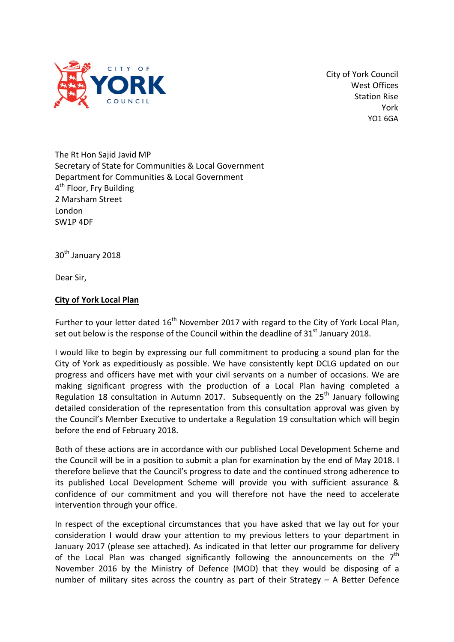

City of York Council West Offices Station Rise York YO1 6GA

The Rt Hon Sajid Javid MP Secretary of State for Communities & Local Government Department for Communities & Local Government 4<sup>th</sup> Floor, Fry Building 2 Marsham Street London SW1P 4DF

30<sup>th</sup> January 2018

Dear Sir,

## **City of York Local Plan**

Further to your letter dated  $16<sup>th</sup>$  November 2017 with regard to the City of York Local Plan, set out below is the response of the Council within the deadline of  $31<sup>st</sup>$  January 2018.

I would like to begin by expressing our full commitment to producing a sound plan for the City of York as expeditiously as possible. We have consistently kept DCLG updated on our progress and officers have met with your civil servants on a number of occasions. We are making significant progress with the production of a Local Plan having completed a Regulation 18 consultation in Autumn 2017. Subsequently on the  $25<sup>th</sup>$  January following detailed consideration of the representation from this consultation approval was given by the Council's Member Executive to undertake a Regulation 19 consultation which will begin before the end of February 2018.

Both of these actions are in accordance with our published Local Development Scheme and the Council will be in a position to submit a plan for examination by the end of May 2018. I therefore believe that the Council's progress to date and the continued strong adherence to its published Local Development Scheme will provide you with sufficient assurance & confidence of our commitment and you will therefore not have the need to accelerate intervention through your office.

In respect of the exceptional circumstances that you have asked that we lay out for your consideration I would draw your attention to my previous letters to your department in January 2017 (please see attached). As indicated in that letter our programme for delivery of the Local Plan was changed significantly following the announcements on the  $7<sup>th</sup>$ November 2016 by the Ministry of Defence (MOD) that they would be disposing of a number of military sites across the country as part of their Strategy – A Better Defence